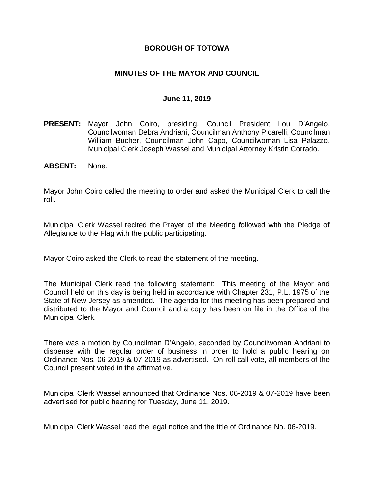### **BOROUGH OF TOTOWA**

### **MINUTES OF THE MAYOR AND COUNCIL**

#### **June 11, 2019**

- **PRESENT:** Mayor John Coiro, presiding, Council President Lou D'Angelo, Councilwoman Debra Andriani, Councilman Anthony Picarelli, Councilman William Bucher, Councilman John Capo, Councilwoman Lisa Palazzo, Municipal Clerk Joseph Wassel and Municipal Attorney Kristin Corrado.
- **ABSENT:** None.

Mayor John Coiro called the meeting to order and asked the Municipal Clerk to call the roll.

Municipal Clerk Wassel recited the Prayer of the Meeting followed with the Pledge of Allegiance to the Flag with the public participating.

Mayor Coiro asked the Clerk to read the statement of the meeting.

The Municipal Clerk read the following statement: This meeting of the Mayor and Council held on this day is being held in accordance with Chapter 231, P.L. 1975 of the State of New Jersey as amended. The agenda for this meeting has been prepared and distributed to the Mayor and Council and a copy has been on file in the Office of the Municipal Clerk.

There was a motion by Councilman D'Angelo, seconded by Councilwoman Andriani to dispense with the regular order of business in order to hold a public hearing on Ordinance Nos. 06-2019 & 07-2019 as advertised. On roll call vote, all members of the Council present voted in the affirmative.

Municipal Clerk Wassel announced that Ordinance Nos. 06-2019 & 07-2019 have been advertised for public hearing for Tuesday, June 11, 2019.

Municipal Clerk Wassel read the legal notice and the title of Ordinance No. 06-2019.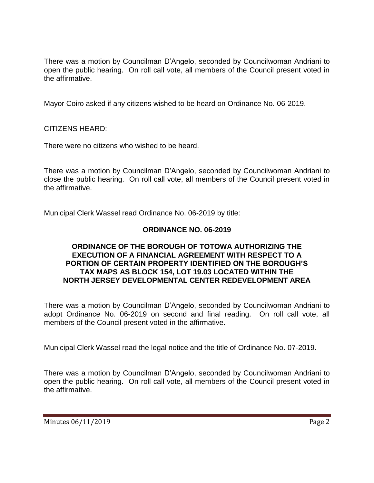There was a motion by Councilman D'Angelo, seconded by Councilwoman Andriani to open the public hearing. On roll call vote, all members of the Council present voted in the affirmative.

Mayor Coiro asked if any citizens wished to be heard on Ordinance No. 06-2019.

CITIZENS HEARD:

There were no citizens who wished to be heard.

There was a motion by Councilman D'Angelo, seconded by Councilwoman Andriani to close the public hearing. On roll call vote, all members of the Council present voted in the affirmative.

Municipal Clerk Wassel read Ordinance No. 06-2019 by title:

# **ORDINANCE NO. 06-2019**

#### **ORDINANCE OF THE BOROUGH OF TOTOWA AUTHORIZING THE EXECUTION OF A FINANCIAL AGREEMENT WITH RESPECT TO A PORTION OF CERTAIN PROPERTY IDENTIFIED ON THE BOROUGH'S TAX MAPS AS BLOCK 154, LOT 19.03 LOCATED WITHIN THE NORTH JERSEY DEVELOPMENTAL CENTER REDEVELOPMENT AREA**

There was a motion by Councilman D'Angelo, seconded by Councilwoman Andriani to adopt Ordinance No. 06-2019 on second and final reading. On roll call vote, all members of the Council present voted in the affirmative.

Municipal Clerk Wassel read the legal notice and the title of Ordinance No. 07-2019.

There was a motion by Councilman D'Angelo, seconded by Councilwoman Andriani to open the public hearing. On roll call vote, all members of the Council present voted in the affirmative.

Minutes 06/11/2019 Page 2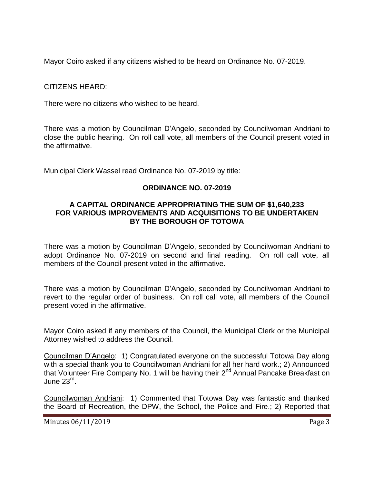Mayor Coiro asked if any citizens wished to be heard on Ordinance No. 07-2019.

CITIZENS HEARD:

There were no citizens who wished to be heard.

There was a motion by Councilman D'Angelo, seconded by Councilwoman Andriani to close the public hearing. On roll call vote, all members of the Council present voted in the affirmative.

Municipal Clerk Wassel read Ordinance No. 07-2019 by title:

### **ORDINANCE NO. 07-2019**

### **A CAPITAL ORDINANCE APPROPRIATING THE SUM OF \$1,640,233 FOR VARIOUS IMPROVEMENTS AND ACQUISITIONS TO BE UNDERTAKEN BY THE BOROUGH OF TOTOWA**

There was a motion by Councilman D'Angelo, seconded by Councilwoman Andriani to adopt Ordinance No. 07-2019 on second and final reading. On roll call vote, all members of the Council present voted in the affirmative.

There was a motion by Councilman D'Angelo, seconded by Councilwoman Andriani to revert to the regular order of business. On roll call vote, all members of the Council present voted in the affirmative.

Mayor Coiro asked if any members of the Council, the Municipal Clerk or the Municipal Attorney wished to address the Council.

Councilman D'Angelo: 1) Congratulated everyone on the successful Totowa Day along with a special thank you to Councilwoman Andriani for all her hard work.; 2) Announced that Volunteer Fire Company No. 1 will be having their 2<sup>nd</sup> Annual Pancake Breakfast on June 23<sup>rd</sup>.

Councilwoman Andriani: 1) Commented that Totowa Day was fantastic and thanked the Board of Recreation, the DPW, the School, the Police and Fire.; 2) Reported that

Minutes 06/11/2019 Page 3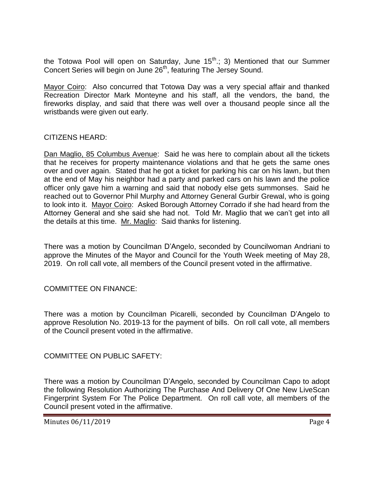the Totowa Pool will open on Saturday, June  $15<sup>th</sup>$ ; 3) Mentioned that our Summer Concert Series will begin on June 26<sup>th</sup>, featuring The Jersey Sound.

Mayor Coiro: Also concurred that Totowa Day was a very special affair and thanked Recreation Director Mark Monteyne and his staff, all the vendors, the band, the fireworks display, and said that there was well over a thousand people since all the wristbands were given out early.

### CITIZENS HEARD:

Dan Maglio, 85 Columbus Avenue: Said he was here to complain about all the tickets that he receives for property maintenance violations and that he gets the same ones over and over again. Stated that he got a ticket for parking his car on his lawn, but then at the end of May his neighbor had a party and parked cars on his lawn and the police officer only gave him a warning and said that nobody else gets summonses. Said he reached out to Governor Phil Murphy and Attorney General Gurbir Grewal, who is going to look into it. Mayor Coiro: Asked Borough Attorney Corrado if she had heard from the Attorney General and she said she had not. Told Mr. Maglio that we can't get into all the details at this time. Mr. Maglio: Said thanks for listening.

There was a motion by Councilman D'Angelo, seconded by Councilwoman Andriani to approve the Minutes of the Mayor and Council for the Youth Week meeting of May 28, 2019. On roll call vote, all members of the Council present voted in the affirmative.

# COMMITTEE ON FINANCE:

There was a motion by Councilman Picarelli, seconded by Councilman D'Angelo to approve Resolution No. 2019-13 for the payment of bills. On roll call vote, all members of the Council present voted in the affirmative.

COMMITTEE ON PUBLIC SAFETY:

There was a motion by Councilman D'Angelo, seconded by Councilman Capo to adopt the following Resolution Authorizing The Purchase And Delivery Of One New LiveScan Fingerprint System For The Police Department. On roll call vote, all members of the Council present voted in the affirmative.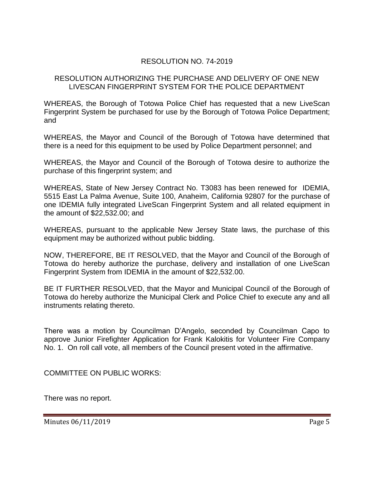# RESOLUTION NO. 74-2019

#### RESOLUTION AUTHORIZING THE PURCHASE AND DELIVERY OF ONE NEW LIVESCAN FINGERPRINT SYSTEM FOR THE POLICE DEPARTMENT

WHEREAS, the Borough of Totowa Police Chief has requested that a new LiveScan Fingerprint System be purchased for use by the Borough of Totowa Police Department; and

WHEREAS, the Mayor and Council of the Borough of Totowa have determined that there is a need for this equipment to be used by Police Department personnel; and

WHEREAS, the Mayor and Council of the Borough of Totowa desire to authorize the purchase of this fingerprint system; and

WHEREAS, State of New Jersey Contract No. T3083 has been renewed for IDEMIA, 5515 East La Palma Avenue, Suite 100, Anaheim, California 92807 for the purchase of one IDEMIA fully integrated LiveScan Fingerprint System and all related equipment in the amount of \$22,532.00; and

WHEREAS, pursuant to the applicable New Jersey State laws, the purchase of this equipment may be authorized without public bidding.

NOW, THEREFORE, BE IT RESOLVED, that the Mayor and Council of the Borough of Totowa do hereby authorize the purchase, delivery and installation of one LiveScan Fingerprint System from IDEMIA in the amount of \$22,532.00.

BE IT FURTHER RESOLVED, that the Mayor and Municipal Council of the Borough of Totowa do hereby authorize the Municipal Clerk and Police Chief to execute any and all instruments relating thereto.

There was a motion by Councilman D'Angelo, seconded by Councilman Capo to approve Junior Firefighter Application for Frank Kalokitis for Volunteer Fire Company No. 1. On roll call vote, all members of the Council present voted in the affirmative.

COMMITTEE ON PUBLIC WORKS:

There was no report.

Minutes 06/11/2019 Page 5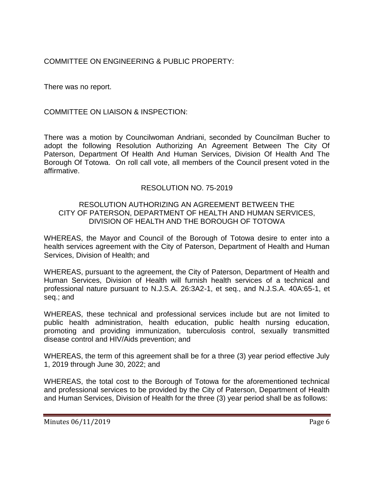COMMITTEE ON ENGINEERING & PUBLIC PROPERTY:

There was no report.

COMMITTEE ON LIAISON & INSPECTION:

There was a motion by Councilwoman Andriani, seconded by Councilman Bucher to adopt the following Resolution Authorizing An Agreement Between The City Of Paterson, Department Of Health And Human Services, Division Of Health And The Borough Of Totowa. On roll call vote, all members of the Council present voted in the affirmative.

# RESOLUTION NO. 75-2019

#### RESOLUTION AUTHORIZING AN AGREEMENT BETWEEN THE CITY OF PATERSON, DEPARTMENT OF HEALTH AND HUMAN SERVICES, DIVISION OF HEALTH AND THE BOROUGH OF TOTOWA

WHEREAS, the Mayor and Council of the Borough of Totowa desire to enter into a health services agreement with the City of Paterson, Department of Health and Human Services, Division of Health; and

WHEREAS, pursuant to the agreement, the City of Paterson, Department of Health and Human Services, Division of Health will furnish health services of a technical and professional nature pursuant to N.J.S.A. 26:3A2-1, et seq., and N.J.S.A. 40A:65-1, et seq.; and

WHEREAS, these technical and professional services include but are not limited to public health administration, health education, public health nursing education, promoting and providing immunization, tuberculosis control, sexually transmitted disease control and HIV/Aids prevention; and

WHEREAS, the term of this agreement shall be for a three (3) year period effective July 1, 2019 through June 30, 2022; and

WHEREAS, the total cost to the Borough of Totowa for the aforementioned technical and professional services to be provided by the City of Paterson, Department of Health and Human Services, Division of Health for the three (3) year period shall be as follows: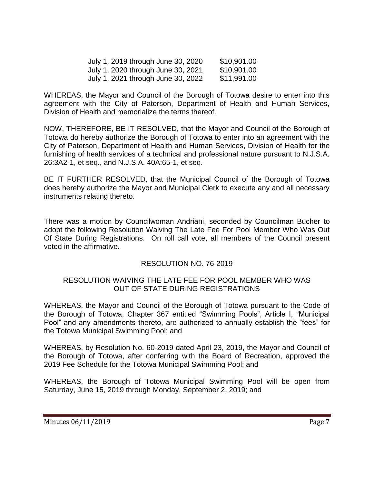| July 1, 2019 through June 30, 2020 | \$10,901.00 |
|------------------------------------|-------------|
| July 1, 2020 through June 30, 2021 | \$10,901.00 |
| July 1, 2021 through June 30, 2022 | \$11,991.00 |

WHEREAS, the Mayor and Council of the Borough of Totowa desire to enter into this agreement with the City of Paterson, Department of Health and Human Services, Division of Health and memorialize the terms thereof.

NOW, THEREFORE, BE IT RESOLVED, that the Mayor and Council of the Borough of Totowa do hereby authorize the Borough of Totowa to enter into an agreement with the City of Paterson, Department of Health and Human Services, Division of Health for the furnishing of health services of a technical and professional nature pursuant to N.J.S.A. 26:3A2-1, et seq., and N.J.S.A. 40A:65-1, et seq.

BE IT FURTHER RESOLVED, that the Municipal Council of the Borough of Totowa does hereby authorize the Mayor and Municipal Clerk to execute any and all necessary instruments relating thereto.

There was a motion by Councilwoman Andriani, seconded by Councilman Bucher to adopt the following Resolution Waiving The Late Fee For Pool Member Who Was Out Of State During Registrations. On roll call vote, all members of the Council present voted in the affirmative.

# RESOLUTION NO. 76-2019

#### RESOLUTION WAIVING THE LATE FEE FOR POOL MEMBER WHO WAS OUT OF STATE DURING REGISTRATIONS

WHEREAS, the Mayor and Council of the Borough of Totowa pursuant to the Code of the Borough of Totowa, Chapter 367 entitled "Swimming Pools", Article I, "Municipal Pool" and any amendments thereto, are authorized to annually establish the "fees" for the Totowa Municipal Swimming Pool; and

WHEREAS, by Resolution No. 60-2019 dated April 23, 2019, the Mayor and Council of the Borough of Totowa, after conferring with the Board of Recreation, approved the 2019 Fee Schedule for the Totowa Municipal Swimming Pool; and

WHEREAS, the Borough of Totowa Municipal Swimming Pool will be open from Saturday, June 15, 2019 through Monday, September 2, 2019; and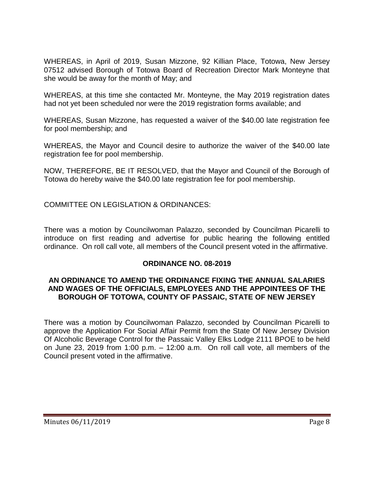WHEREAS, in April of 2019, Susan Mizzone, 92 Killian Place, Totowa, New Jersey 07512 advised Borough of Totowa Board of Recreation Director Mark Monteyne that she would be away for the month of May; and

WHEREAS, at this time she contacted Mr. Monteyne, the May 2019 registration dates had not yet been scheduled nor were the 2019 registration forms available; and

WHEREAS, Susan Mizzone, has requested a waiver of the \$40.00 late registration fee for pool membership; and

WHEREAS, the Mayor and Council desire to authorize the waiver of the \$40.00 late registration fee for pool membership.

NOW, THEREFORE, BE IT RESOLVED, that the Mayor and Council of the Borough of Totowa do hereby waive the \$40.00 late registration fee for pool membership.

COMMITTEE ON LEGISLATION & ORDINANCES:

There was a motion by Councilwoman Palazzo, seconded by Councilman Picarelli to introduce on first reading and advertise for public hearing the following entitled ordinance. On roll call vote, all members of the Council present voted in the affirmative.

#### **ORDINANCE NO. 08-2019**

### **AN ORDINANCE TO AMEND THE ORDINANCE FIXING THE ANNUAL SALARIES AND WAGES OF THE OFFICIALS, EMPLOYEES AND THE APPOINTEES OF THE BOROUGH OF TOTOWA, COUNTY OF PASSAIC, STATE OF NEW JERSEY**

There was a motion by Councilwoman Palazzo, seconded by Councilman Picarelli to approve the Application For Social Affair Permit from the State Of New Jersey Division Of Alcoholic Beverage Control for the Passaic Valley Elks Lodge 2111 BPOE to be held on June 23, 2019 from 1:00 p.m. – 12:00 a.m. On roll call vote, all members of the Council present voted in the affirmative.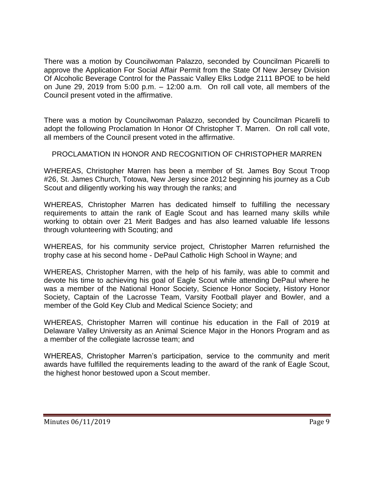There was a motion by Councilwoman Palazzo, seconded by Councilman Picarelli to approve the Application For Social Affair Permit from the State Of New Jersey Division Of Alcoholic Beverage Control for the Passaic Valley Elks Lodge 2111 BPOE to be held on June 29, 2019 from 5:00 p.m. – 12:00 a.m. On roll call vote, all members of the Council present voted in the affirmative.

There was a motion by Councilwoman Palazzo, seconded by Councilman Picarelli to adopt the following Proclamation In Honor Of Christopher T. Marren. On roll call vote, all members of the Council present voted in the affirmative.

# PROCLAMATION IN HONOR AND RECOGNITION OF CHRISTOPHER MARREN

WHEREAS, Christopher Marren has been a member of St. James Boy Scout Troop #26, St. James Church, Totowa, New Jersey since 2012 beginning his journey as a Cub Scout and diligently working his way through the ranks; and

WHEREAS, Christopher Marren has dedicated himself to fulfilling the necessary requirements to attain the rank of Eagle Scout and has learned many skills while working to obtain over 21 Merit Badges and has also learned valuable life lessons through volunteering with Scouting; and

WHEREAS, for his community service project, Christopher Marren refurnished the trophy case at his second home - DePaul Catholic High School in Wayne; and

WHEREAS, Christopher Marren, with the help of his family, was able to commit and devote his time to achieving his goal of Eagle Scout while attending DePaul where he was a member of the National Honor Society, Science Honor Society, History Honor Society, Captain of the Lacrosse Team, Varsity Football player and Bowler, and a member of the Gold Key Club and Medical Science Society; and

WHEREAS, Christopher Marren will continue his education in the Fall of 2019 at Delaware Valley University as an Animal Science Major in the Honors Program and as a member of the collegiate lacrosse team; and

WHEREAS, Christopher Marren's participation, service to the community and merit awards have fulfilled the requirements leading to the award of the rank of Eagle Scout, the highest honor bestowed upon a Scout member.